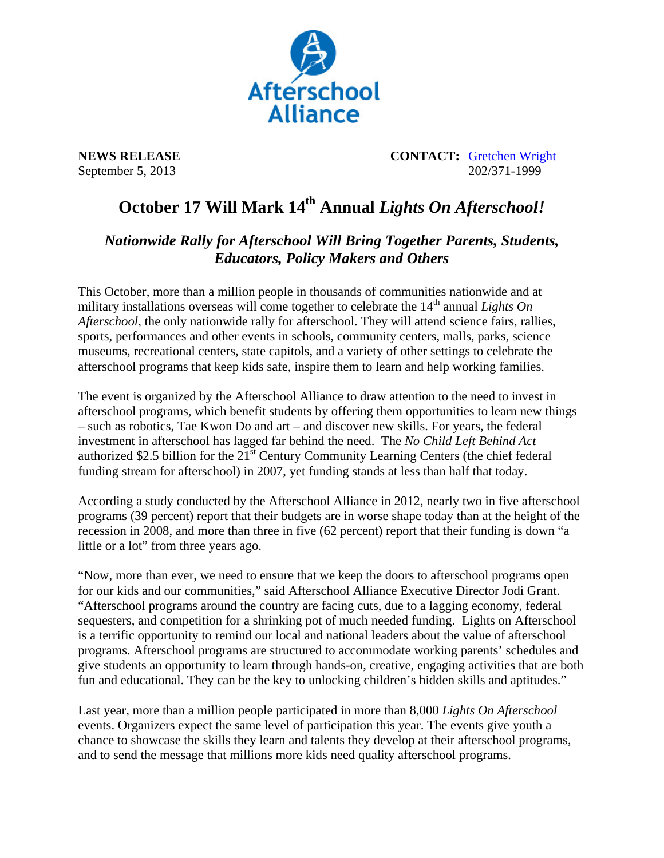

**NEWS RELEASE CONTACT:** Gretchen Wright September 5, 2013 202/371-1999

## October 17 Will Mark 14<sup>th</sup> Annual *Lights On Afterschool!*

## *Nationwide Rally for Afterschool Will Bring Together Parents, Students, Educators, Policy Makers and Others*

This October, more than a million people in thousands of communities nationwide and at military installations overseas will come together to celebrate the 14<sup>th</sup> annual *Lights On Afterschool*, the only nationwide rally for afterschool. They will attend science fairs, rallies, sports, performances and other events in schools, community centers, malls, parks, science museums, recreational centers, state capitols, and a variety of other settings to celebrate the afterschool programs that keep kids safe, inspire them to learn and help working families.

The event is organized by the Afterschool Alliance to draw attention to the need to invest in afterschool programs, which benefit students by offering them opportunities to learn new things – such as robotics, Tae Kwon Do and art – and discover new skills. For years, the federal investment in afterschool has lagged far behind the need. The *No Child Left Behind Act* authorized \$2.5 billion for the  $21<sup>st</sup>$  Century Community Learning Centers (the chief federal funding stream for afterschool) in 2007, yet funding stands at less than half that today.

According a study conducted by the Afterschool Alliance in 2012, nearly two in five afterschool programs (39 percent) report that their budgets are in worse shape today than at the height of the recession in 2008, and more than three in five (62 percent) report that their funding is down "a little or a lot" from three years ago.

"Now, more than ever, we need to ensure that we keep the doors to afterschool programs open for our kids and our communities," said Afterschool Alliance Executive Director Jodi Grant. "Afterschool programs around the country are facing cuts, due to a lagging economy, federal sequesters, and competition for a shrinking pot of much needed funding. Lights on Afterschool is a terrific opportunity to remind our local and national leaders about the value of afterschool programs. Afterschool programs are structured to accommodate working parents' schedules and give students an opportunity to learn through hands-on, creative, engaging activities that are both fun and educational. They can be the key to unlocking children's hidden skills and aptitudes."

Last year, more than a million people participated in more than 8,000 *Lights On Afterschool* events. Organizers expect the same level of participation this year. The events give youth a chance to showcase the skills they learn and talents they develop at their afterschool programs, and to send the message that millions more kids need quality afterschool programs.